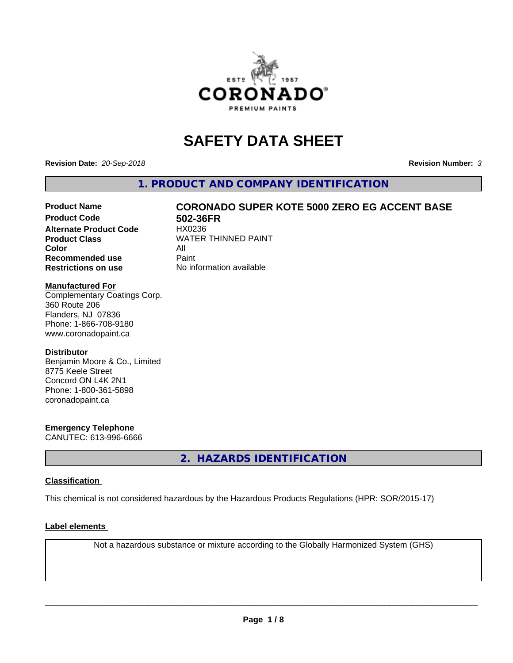

# **SAFETY DATA SHEET**

**Revision Date:** *20-Sep-2018* **Revision Number:** *3*

**1. PRODUCT AND COMPANY IDENTIFICATION**

# Product Name **CORONADO SUPER KOTE 5000 ZERO EG ACCENT BASE**<br>Product Code 602-36FR

**Alternate Product Code Color** All<br> **Recommended use** Paint **Recommended use Restrictions on use** No information available

**502-36FR**<br>HX0236 **Product Class WATER THINNED PAINT** 

#### **Manufactured For**

Complementary Coatings Corp. 360 Route 206 Flanders, NJ 07836 Phone: 1-866-708-9180 www.coronadopaint.ca

#### **Distributor**

Benjamin Moore & Co., Limited 8775 Keele Street Concord ON L4K 2N1 Phone: 1-800-361-5898 coronadopaint.ca

#### **Emergency Telephone**

CANUTEC: 613-996-6666

**2. HAZARDS IDENTIFICATION**

#### **Classification**

This chemical is not considered hazardous by the Hazardous Products Regulations (HPR: SOR/2015-17)

#### **Label elements**

Not a hazardous substance or mixture according to the Globally Harmonized System (GHS)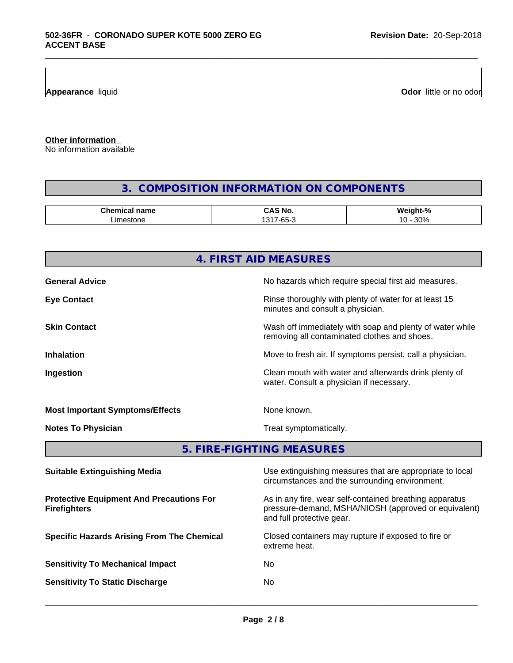**Appearance** liquid **Odor 11** Odor little or no odor

**Other information**

No information available

# **3. COMPOSITION INFORMATION ON COMPONENTS**

\_\_\_\_\_\_\_\_\_\_\_\_\_\_\_\_\_\_\_\_\_\_\_\_\_\_\_\_\_\_\_\_\_\_\_\_\_\_\_\_\_\_\_\_\_\_\_\_\_\_\_\_\_\_\_\_\_\_\_\_\_\_\_\_\_\_\_\_\_\_\_\_\_\_\_\_\_\_\_\_\_\_\_\_\_\_\_\_\_\_\_\_\_

| .^hem⊾<br>name<br>янкан | ^<br>N6<br>.                                                  | $\mathbf{r}$<br>.<br>мı.<br>$\sqrt{2}$   |
|-------------------------|---------------------------------------------------------------|------------------------------------------|
| imestone                | $\sqrt{21}$<br>$\sim$ $\sim$<br>$\overline{\phantom{a}}$<br>ึ | $\Omega$<br>$\overline{ }$<br>.<br>JU 70 |

|                                                                        | 4. FIRST AID MEASURES                                                                                                                        |  |
|------------------------------------------------------------------------|----------------------------------------------------------------------------------------------------------------------------------------------|--|
| <b>General Advice</b>                                                  | No hazards which require special first aid measures.                                                                                         |  |
| <b>Eye Contact</b>                                                     | Rinse thoroughly with plenty of water for at least 15<br>minutes and consult a physician.                                                    |  |
| <b>Skin Contact</b>                                                    | Wash off immediately with soap and plenty of water while<br>removing all contaminated clothes and shoes.                                     |  |
| <b>Inhalation</b>                                                      | Move to fresh air. If symptoms persist, call a physician.                                                                                    |  |
| Ingestion                                                              | Clean mouth with water and afterwards drink plenty of<br>water. Consult a physician if necessary.                                            |  |
| <b>Most Important Symptoms/Effects</b>                                 | None known.                                                                                                                                  |  |
| <b>Notes To Physician</b>                                              | Treat symptomatically.                                                                                                                       |  |
|                                                                        | 5. FIRE-FIGHTING MEASURES                                                                                                                    |  |
| <b>Suitable Extinguishing Media</b>                                    | Use extinguishing measures that are appropriate to local<br>circumstances and the surrounding environment.                                   |  |
| <b>Protective Equipment And Precautions For</b><br><b>Firefighters</b> | As in any fire, wear self-contained breathing apparatus<br>pressure-demand, MSHA/NIOSH (approved or equivalent)<br>and full protective gear. |  |
| <b>Specific Hazards Arising From The Chemical</b>                      | Closed containers may rupture if exposed to fire or<br>extreme heat.                                                                         |  |
| <b>Sensitivity To Mechanical Impact</b>                                | No                                                                                                                                           |  |

**Sensitivity To Static Discharge** No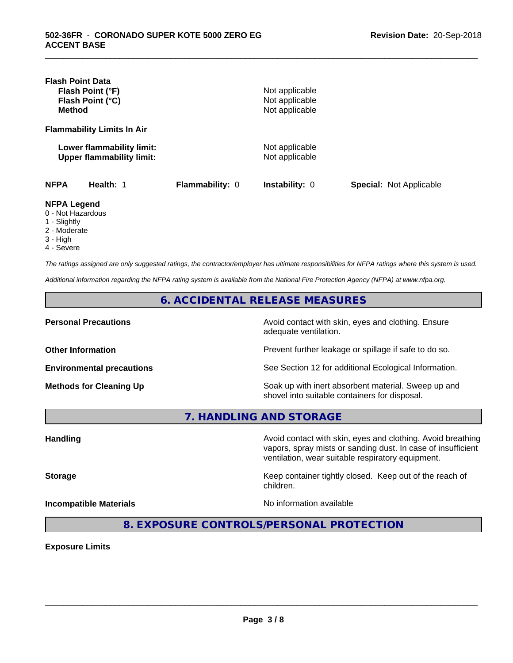| <b>Flash Point Data</b><br>Flash Point (°F)<br>Flash Point (°C)<br><b>Method</b> |                        | Not applicable<br>Not applicable<br>Not applicable |                                |
|----------------------------------------------------------------------------------|------------------------|----------------------------------------------------|--------------------------------|
| <b>Flammability Limits In Air</b>                                                |                        |                                                    |                                |
| Lower flammability limit:<br><b>Upper flammability limit:</b>                    |                        | Not applicable<br>Not applicable                   |                                |
| <b>NFPA</b><br>Health: 1                                                         | <b>Flammability: 0</b> | <b>Instability: 0</b>                              | <b>Special: Not Applicable</b> |
| <b>NFPA Legend</b><br>0 - Not Hazardous<br>1 - Slightly<br>2 - Moderate          |                        |                                                    |                                |

\_\_\_\_\_\_\_\_\_\_\_\_\_\_\_\_\_\_\_\_\_\_\_\_\_\_\_\_\_\_\_\_\_\_\_\_\_\_\_\_\_\_\_\_\_\_\_\_\_\_\_\_\_\_\_\_\_\_\_\_\_\_\_\_\_\_\_\_\_\_\_\_\_\_\_\_\_\_\_\_\_\_\_\_\_\_\_\_\_\_\_\_\_

- 
- 3 High
- 4 Severe

*The ratings assigned are only suggested ratings, the contractor/employer has ultimate responsibilities for NFPA ratings where this system is used.*

*Additional information regarding the NFPA rating system is available from the National Fire Protection Agency (NFPA) at www.nfpa.org.*

**6. ACCIDENTAL RELEASE MEASURES**

**Personal Precautions Precautions** Avoid contact with skin, eyes and clothing. Ensure adequate ventilation.

**Other Information Other Information Prevent further leakage or spillage if safe to do so.** 

**Environmental precautions** See Section 12 for additional Ecological Information.

**Methods for Cleaning Up Soak up with inert absorbent material. Sweep up and** shovel into suitable containers for disposal.

vapors, spray mists or sanding dust. In case of insufficient

ventilation, wear suitable respiratory equipment.

**7. HANDLING AND STORAGE**

Handling **Handling Avoid contact with skin, eyes and clothing. Avoid breathing Handling** 

**Storage Keep container tightly closed. Keep out of the reach of Keep** container tightly closed. Keep out of the reach of

**Incompatible Materials No information available** 

 $\overline{\phantom{a}}$  ,  $\overline{\phantom{a}}$  ,  $\overline{\phantom{a}}$  ,  $\overline{\phantom{a}}$  ,  $\overline{\phantom{a}}$  ,  $\overline{\phantom{a}}$  ,  $\overline{\phantom{a}}$  ,  $\overline{\phantom{a}}$  ,  $\overline{\phantom{a}}$  ,  $\overline{\phantom{a}}$  ,  $\overline{\phantom{a}}$  ,  $\overline{\phantom{a}}$  ,  $\overline{\phantom{a}}$  ,  $\overline{\phantom{a}}$  ,  $\overline{\phantom{a}}$  ,  $\overline{\phantom{a}}$ 

**8. EXPOSURE CONTROLS/PERSONAL PROTECTION**

children.

**Exposure Limits**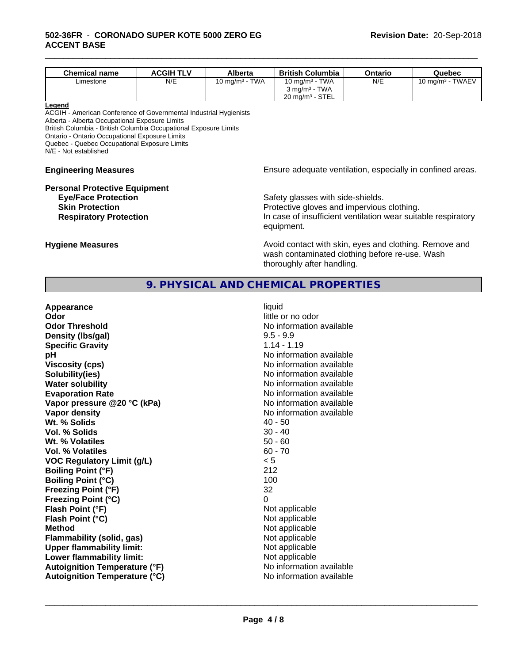| <b>Chemical name</b> | <b>ACGIH TLV</b> | Alberta                           | <b>British Columbia</b>              | Ontario | Quebec                       |
|----------------------|------------------|-----------------------------------|--------------------------------------|---------|------------------------------|
| Limestone            | N/E              | <b>TWA</b><br>$10 \text{ mg/m}^3$ | <b>TWA</b><br>10 mg/m <sup>3</sup> - | N/E     | <b>TWAEV</b><br>10 mg/m $^3$ |
|                      |                  |                                   | <b>TWA</b><br>$3 \text{ ma/m}^3$     |         |                              |
|                      |                  |                                   | $20 \text{ mg/m}^3$ - STEL           |         |                              |

\_\_\_\_\_\_\_\_\_\_\_\_\_\_\_\_\_\_\_\_\_\_\_\_\_\_\_\_\_\_\_\_\_\_\_\_\_\_\_\_\_\_\_\_\_\_\_\_\_\_\_\_\_\_\_\_\_\_\_\_\_\_\_\_\_\_\_\_\_\_\_\_\_\_\_\_\_\_\_\_\_\_\_\_\_\_\_\_\_\_\_\_\_

#### **Legend**

ACGIH - American Conference of Governmental Industrial Hygienists Alberta - Alberta Occupational Exposure Limits

British Columbia - British Columbia Occupational Exposure Limits

Ontario - Ontario Occupational Exposure Limits

Quebec - Quebec Occupational Exposure Limits

N/E - Not established

# **Personal Protective Equipment**

**Engineering Measures Ensure** Ensure adequate ventilation, especially in confined areas.

**Eye/Face Protection Safety glasses with side-shields. Skin Protection Protection Protective gloves and impervious clothing. Respiratory Protection In case of insufficient ventilation wear suitable respiratory** equipment.

**Hygiene Measures Avoid contact with skin, eyes and clothing. Remove and Avoid contact with skin, eyes and clothing. Remove and Avoid contact with skin, eyes and clothing. Remove and** wash contaminated clothing before re-use. Wash thoroughly after handling.

## **9. PHYSICAL AND CHEMICAL PROPERTIES**

| Appearance                           | liquid                   |
|--------------------------------------|--------------------------|
| Odor                                 | little or no odor        |
| <b>Odor Threshold</b>                | No information available |
| Density (Ibs/gal)                    | $9.5 - 9.9$              |
| <b>Specific Gravity</b>              | $1.14 - 1.19$            |
| рH                                   | No information available |
| <b>Viscosity (cps)</b>               | No information available |
| Solubility(ies)                      | No information available |
| <b>Water solubility</b>              | No information available |
| <b>Evaporation Rate</b>              | No information available |
| Vapor pressure @20 °C (kPa)          | No information available |
| Vapor density                        | No information available |
| Wt. % Solids                         | $40 - 50$                |
| Vol. % Solids                        | $30 - 40$                |
| Wt. % Volatiles                      | $50 - 60$                |
| <b>Vol. % Volatiles</b>              | $60 - 70$                |
| <b>VOC Regulatory Limit (g/L)</b>    | < 5                      |
| <b>Boiling Point (°F)</b>            | 212                      |
| <b>Boiling Point (°C)</b>            | 100                      |
| <b>Freezing Point (°F)</b>           | 32                       |
| <b>Freezing Point (°C)</b>           | 0                        |
| Flash Point (°F)                     | Not applicable           |
| Flash Point (°C)                     | Not applicable           |
| <b>Method</b>                        | Not applicable           |
| <b>Flammability (solid, gas)</b>     | Not applicable           |
| <b>Upper flammability limit:</b>     | Not applicable           |
| Lower flammability limit:            | Not applicable           |
| <b>Autoignition Temperature (°F)</b> | No information available |
| <b>Autoignition Temperature (°C)</b> | No information available |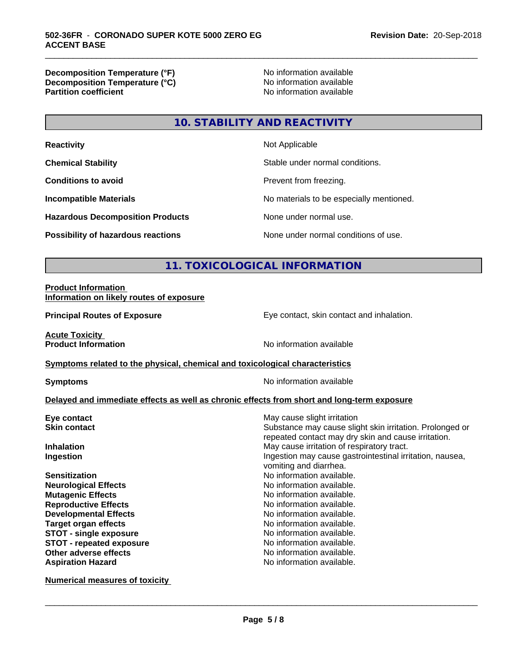**Decomposition Temperature (°F)**<br> **Decomposition Temperature (°C)** No information available **Decomposition Temperature (°C)**<br>Partition coefficient

**No information available** 

\_\_\_\_\_\_\_\_\_\_\_\_\_\_\_\_\_\_\_\_\_\_\_\_\_\_\_\_\_\_\_\_\_\_\_\_\_\_\_\_\_\_\_\_\_\_\_\_\_\_\_\_\_\_\_\_\_\_\_\_\_\_\_\_\_\_\_\_\_\_\_\_\_\_\_\_\_\_\_\_\_\_\_\_\_\_\_\_\_\_\_\_\_

### **10. STABILITY AND REACTIVITY**

| <b>Reactivity</b>                         | Not Applicable                           |
|-------------------------------------------|------------------------------------------|
| <b>Chemical Stability</b>                 | Stable under normal conditions.          |
| <b>Conditions to avoid</b>                | Prevent from freezing.                   |
| <b>Incompatible Materials</b>             | No materials to be especially mentioned. |
| <b>Hazardous Decomposition Products</b>   | None under normal use.                   |
| <b>Possibility of hazardous reactions</b> | None under normal conditions of use.     |

# **11. TOXICOLOGICAL INFORMATION**

#### **Product Information Information on likely routes of exposure**

**Principal Routes of Exposure Exposure** Eye contact, skin contact and inhalation.

**Acute Toxicity<br>Product Information** 

**Symptoms related to the physical, chemical and toxicological characteristics** 

**Symptoms** No information available

**No information available** 

#### **Delayed and immediate effects as well as chronic effects from short and long-term exposure**

| Eye contact                   | May cause slight irritation                                                                                     |
|-------------------------------|-----------------------------------------------------------------------------------------------------------------|
| <b>Skin contact</b>           | Substance may cause slight skin irritation. Prolonged or<br>repeated contact may dry skin and cause irritation. |
| <b>Inhalation</b>             | May cause irritation of respiratory tract.                                                                      |
| Ingestion                     | Ingestion may cause gastrointestinal irritation, nausea,<br>vomiting and diarrhea.                              |
| <b>Sensitization</b>          | No information available.                                                                                       |
| <b>Neurological Effects</b>   | No information available.                                                                                       |
| <b>Mutagenic Effects</b>      | No information available.                                                                                       |
| <b>Reproductive Effects</b>   | No information available.                                                                                       |
| <b>Developmental Effects</b>  | No information available.                                                                                       |
| <b>Target organ effects</b>   | No information available.                                                                                       |
| <b>STOT - single exposure</b> | No information available.                                                                                       |
| STOT - repeated exposure      | No information available.                                                                                       |
| Other adverse effects         | No information available.                                                                                       |
| <b>Aspiration Hazard</b>      | No information available.                                                                                       |
|                               |                                                                                                                 |

**Numerical measures of toxicity**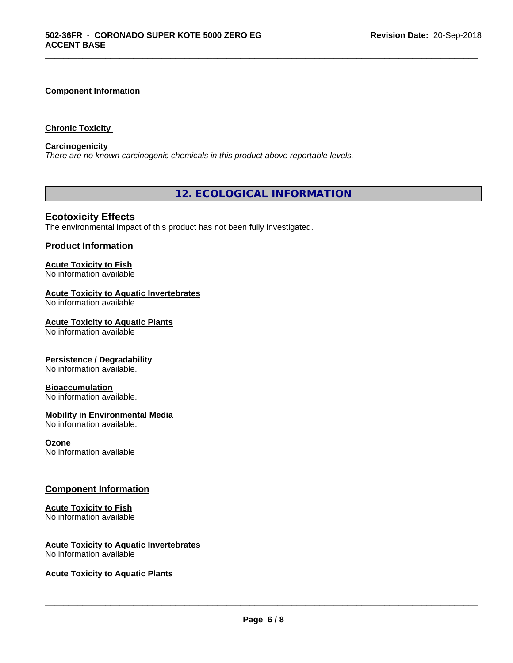#### **Component Information**

#### **Chronic Toxicity**

#### **Carcinogenicity**

*There are no known carcinogenic chemicals in this product above reportable levels.*

**12. ECOLOGICAL INFORMATION**

\_\_\_\_\_\_\_\_\_\_\_\_\_\_\_\_\_\_\_\_\_\_\_\_\_\_\_\_\_\_\_\_\_\_\_\_\_\_\_\_\_\_\_\_\_\_\_\_\_\_\_\_\_\_\_\_\_\_\_\_\_\_\_\_\_\_\_\_\_\_\_\_\_\_\_\_\_\_\_\_\_\_\_\_\_\_\_\_\_\_\_\_\_

### **Ecotoxicity Effects**

The environmental impact of this product has not been fully investigated.

#### **Product Information**

#### **Acute Toxicity to Fish** No information available

#### **Acute Toxicity to Aquatic Invertebrates**

No information available

#### **Acute Toxicity to Aquatic Plants**

No information available

#### **Persistence / Degradability**

No information available.

#### **Bioaccumulation**

No information available.

#### **Mobility in Environmental Media**

No information available.

#### **Ozone**

No information available

#### **Component Information**

#### **Acute Toxicity to Fish**

No information available

# **Acute Toxicity to Aquatic Invertebrates**

No information available

#### **Acute Toxicity to Aquatic Plants**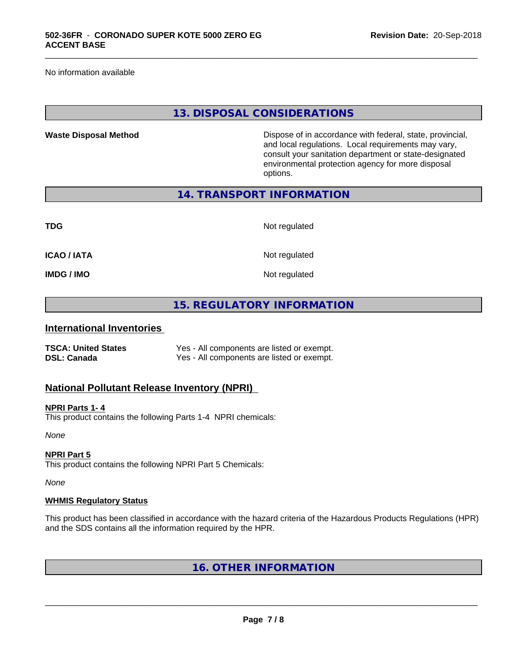No information available

#### **13. DISPOSAL CONSIDERATIONS**

\_\_\_\_\_\_\_\_\_\_\_\_\_\_\_\_\_\_\_\_\_\_\_\_\_\_\_\_\_\_\_\_\_\_\_\_\_\_\_\_\_\_\_\_\_\_\_\_\_\_\_\_\_\_\_\_\_\_\_\_\_\_\_\_\_\_\_\_\_\_\_\_\_\_\_\_\_\_\_\_\_\_\_\_\_\_\_\_\_\_\_\_\_

**Waste Disposal Method** Dispose of in accordance with federal, state, provincial, and local regulations. Local requirements may vary, consult your sanitation department or state-designated environmental protection agency for more disposal options.

**14. TRANSPORT INFORMATION**

| <b>TDG</b>         | Not regulated |
|--------------------|---------------|
| <b>ICAO / IATA</b> | Not regulated |
| <b>IMDG / IMO</b>  | Not regulated |

## **15. REGULATORY INFORMATION**

#### **International Inventories**

| <b>TSCA: United States</b> | Yes - All components are listed or exempt. |
|----------------------------|--------------------------------------------|
| <b>DSL: Canada</b>         | Yes - All components are listed or exempt. |

#### **National Pollutant Release Inventory (NPRI)**

#### **NPRI Parts 1- 4**

This product contains the following Parts 1-4 NPRI chemicals:

*None*

#### **NPRI Part 5**

This product contains the following NPRI Part 5 Chemicals:

*None*

#### **WHMIS Regulatory Status**

This product has been classified in accordance with the hazard criteria of the Hazardous Products Regulations (HPR) and the SDS contains all the information required by the HPR.

**16. OTHER INFORMATION**